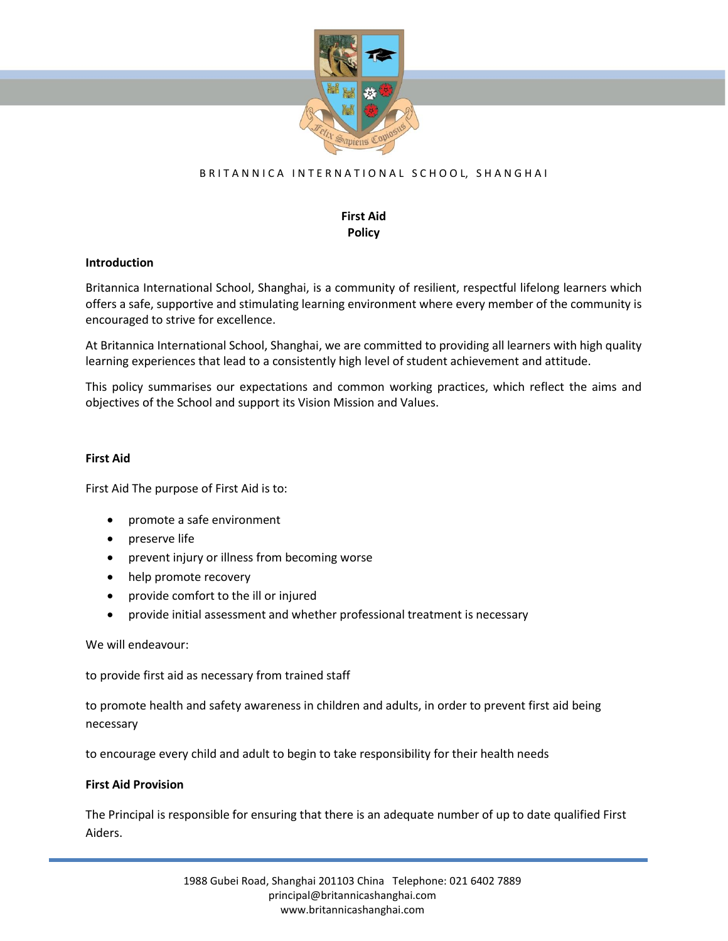

# BRITANNICA INTERNATIONAL SCHOOL, SHANGHAI

### **First Aid Policy**

#### **Introduction**

Britannica International School, Shanghai, is a community of resilient, respectful lifelong learners which offers a safe, supportive and stimulating learning environment where every member of the community is encouraged to strive for excellence.

At Britannica International School, Shanghai, we are committed to providing all learners with high quality learning experiences that lead to a consistently high level of student achievement and attitude.

This policy summarises our expectations and common working practices, which reflect the aims and objectives of the School and support its Vision Mission and Values.

#### **First Aid**

First Aid The purpose of First Aid is to:

- promote a safe environment
- preserve life
- prevent injury or illness from becoming worse
- help promote recovery
- provide comfort to the ill or injured
- provide initial assessment and whether professional treatment is necessary

We will endeavour:

to provide first aid as necessary from trained staff

to promote health and safety awareness in children and adults, in order to prevent first aid being necessary

to encourage every child and adult to begin to take responsibility for their health needs

#### **First Aid Provision**

The Principal is responsible for ensuring that there is an adequate number of up to date qualified First Aiders.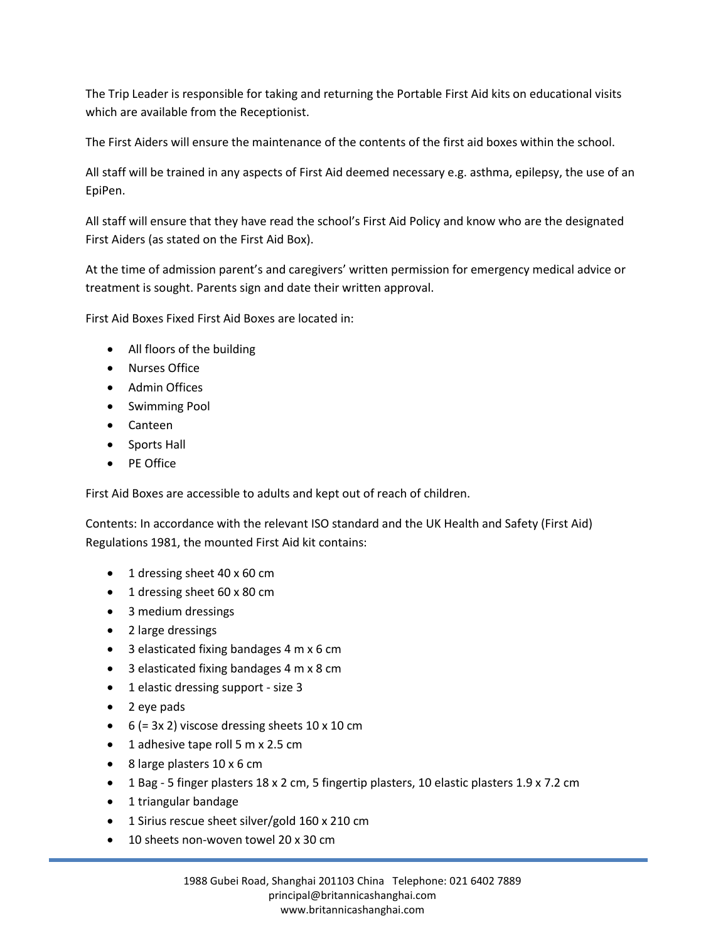The Trip Leader is responsible for taking and returning the Portable First Aid kits on educational visits which are available from the Receptionist.

The First Aiders will ensure the maintenance of the contents of the first aid boxes within the school.

All staff will be trained in any aspects of First Aid deemed necessary e.g. asthma, epilepsy, the use of an EpiPen.

All staff will ensure that they have read the school's First Aid Policy and know who are the designated First Aiders (as stated on the First Aid Box).

At the time of admission parent's and caregivers' written permission for emergency medical advice or treatment is sought. Parents sign and date their written approval.

First Aid Boxes Fixed First Aid Boxes are located in:

- All floors of the building
- Nurses Office
- Admin Offices
- Swimming Pool
- Canteen
- Sports Hall
- PE Office

First Aid Boxes are accessible to adults and kept out of reach of children.

Contents: In accordance with the relevant ISO standard and the UK Health and Safety (First Aid) Regulations 1981, the mounted First Aid kit contains:

- 1 dressing sheet 40 x 60 cm
- 1 dressing sheet 60 x 80 cm
- 3 medium dressings
- 2 large dressings
- 3 elasticated fixing bandages 4 m x 6 cm
- 3 elasticated fixing bandages 4 m x 8 cm
- 1 elastic dressing support size 3
- 2 eye pads
- $\bullet$  6 (= 3x 2) viscose dressing sheets 10 x 10 cm
- 1 adhesive tape roll 5 m x 2.5 cm
- 8 large plasters 10 x 6 cm
- 1 Bag 5 finger plasters 18 x 2 cm, 5 fingertip plasters, 10 elastic plasters 1.9 x 7.2 cm
- 1 triangular bandage
- 1 Sirius rescue sheet silver/gold 160 x 210 cm
- 10 sheets non-woven towel 20 x 30 cm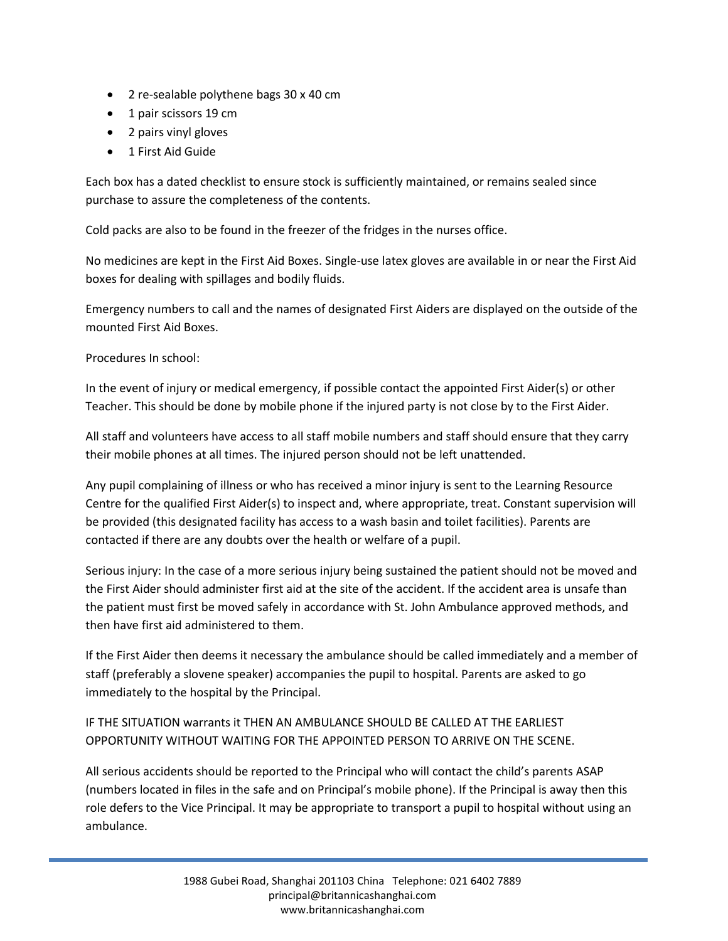- 2 re-sealable polythene bags 30 x 40 cm
- 1 pair scissors 19 cm
- 2 pairs vinyl gloves
- 1 First Aid Guide

Each box has a dated checklist to ensure stock is sufficiently maintained, or remains sealed since purchase to assure the completeness of the contents.

Cold packs are also to be found in the freezer of the fridges in the nurses office.

No medicines are kept in the First Aid Boxes. Single-use latex gloves are available in or near the First Aid boxes for dealing with spillages and bodily fluids.

Emergency numbers to call and the names of designated First Aiders are displayed on the outside of the mounted First Aid Boxes.

Procedures In school:

In the event of injury or medical emergency, if possible contact the appointed First Aider(s) or other Teacher. This should be done by mobile phone if the injured party is not close by to the First Aider.

All staff and volunteers have access to all staff mobile numbers and staff should ensure that they carry their mobile phones at all times. The injured person should not be left unattended.

Any pupil complaining of illness or who has received a minor injury is sent to the Learning Resource Centre for the qualified First Aider(s) to inspect and, where appropriate, treat. Constant supervision will be provided (this designated facility has access to a wash basin and toilet facilities). Parents are contacted if there are any doubts over the health or welfare of a pupil.

Serious injury: In the case of a more serious injury being sustained the patient should not be moved and the First Aider should administer first aid at the site of the accident. If the accident area is unsafe than the patient must first be moved safely in accordance with St. John Ambulance approved methods, and then have first aid administered to them.

If the First Aider then deems it necessary the ambulance should be called immediately and a member of staff (preferably a slovene speaker) accompanies the pupil to hospital. Parents are asked to go immediately to the hospital by the Principal.

# IF THE SITUATION warrants it THEN AN AMBULANCE SHOULD BE CALLED AT THE EARLIEST OPPORTUNITY WITHOUT WAITING FOR THE APPOINTED PERSON TO ARRIVE ON THE SCENE.

All serious accidents should be reported to the Principal who will contact the child's parents ASAP (numbers located in files in the safe and on Principal's mobile phone). If the Principal is away then this role defers to the Vice Principal. It may be appropriate to transport a pupil to hospital without using an ambulance.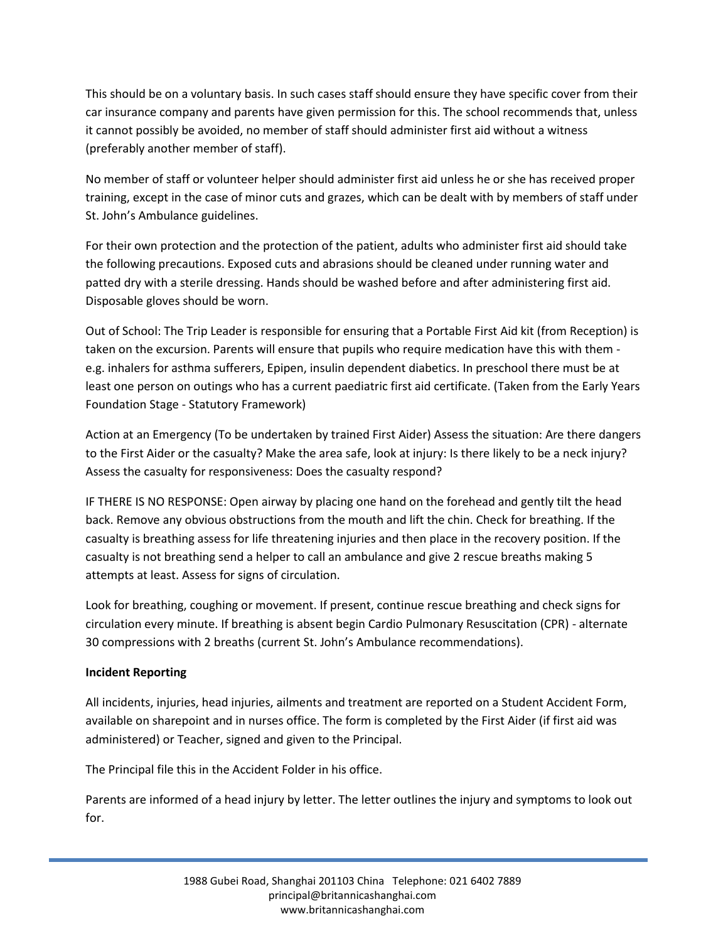This should be on a voluntary basis. In such cases staff should ensure they have specific cover from their car insurance company and parents have given permission for this. The school recommends that, unless it cannot possibly be avoided, no member of staff should administer first aid without a witness (preferably another member of staff).

No member of staff or volunteer helper should administer first aid unless he or she has received proper training, except in the case of minor cuts and grazes, which can be dealt with by members of staff under St. John's Ambulance guidelines.

For their own protection and the protection of the patient, adults who administer first aid should take the following precautions. Exposed cuts and abrasions should be cleaned under running water and patted dry with a sterile dressing. Hands should be washed before and after administering first aid. Disposable gloves should be worn.

Out of School: The Trip Leader is responsible for ensuring that a Portable First Aid kit (from Reception) is taken on the excursion. Parents will ensure that pupils who require medication have this with them e.g. inhalers for asthma sufferers, Epipen, insulin dependent diabetics. In preschool there must be at least one person on outings who has a current paediatric first aid certificate. (Taken from the Early Years Foundation Stage - Statutory Framework)

Action at an Emergency (To be undertaken by trained First Aider) Assess the situation: Are there dangers to the First Aider or the casualty? Make the area safe, look at injury: Is there likely to be a neck injury? Assess the casualty for responsiveness: Does the casualty respond?

IF THERE IS NO RESPONSE: Open airway by placing one hand on the forehead and gently tilt the head back. Remove any obvious obstructions from the mouth and lift the chin. Check for breathing. If the casualty is breathing assess for life threatening injuries and then place in the recovery position. If the casualty is not breathing send a helper to call an ambulance and give 2 rescue breaths making 5 attempts at least. Assess for signs of circulation.

Look for breathing, coughing or movement. If present, continue rescue breathing and check signs for circulation every minute. If breathing is absent begin Cardio Pulmonary Resuscitation (CPR) - alternate 30 compressions with 2 breaths (current St. John's Ambulance recommendations).

# **Incident Reporting**

All incidents, injuries, head injuries, ailments and treatment are reported on a Student Accident Form, available on sharepoint and in nurses office. The form is completed by the First Aider (if first aid was administered) or Teacher, signed and given to the Principal.

The Principal file this in the Accident Folder in his office.

Parents are informed of a head injury by letter. The letter outlines the injury and symptoms to look out for.